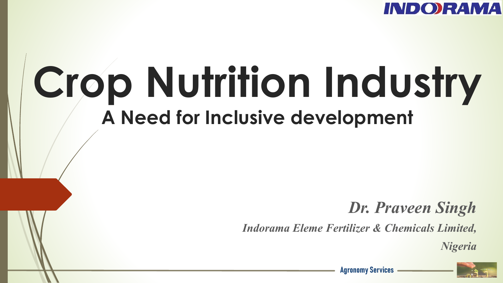

# **Crop Nutrition Industry A Need for Inclusive development**

#### *Dr. Praveen Singh*

*Indorama Eleme Fertilizer & Chemicals Limited,* 

*Nigeria*



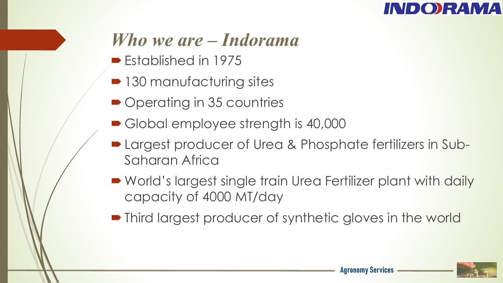

#### *Who we are – Indorama*

- $\blacktriangleright$  Established in 1975
- 130 manufacturing sites
- Operating in 35 countries
- Global employee strength is 40,000
- **Largest producer of Urea & Phosphate fertilizers in Sub-**Saharan Africa
- World's largest single train Urea Fertilizer plant with daily capacity of 4000 MT/day
- Third largest producer of synthetic gloves in the world

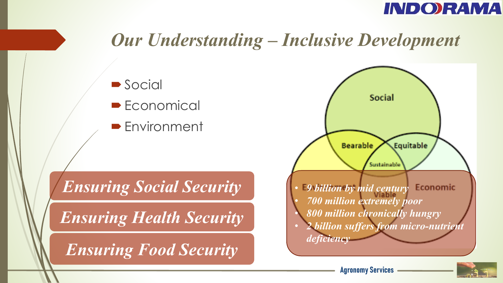

#### *Our Understanding – Inclusive Development*







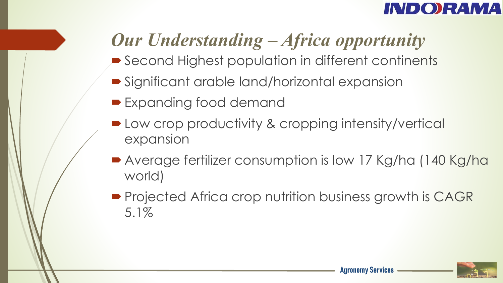#### **INDORAMA**

## *Our Understanding – Africa opportunity*

- Second Highest population in different continents
- **Significant arable land/horizontal expansion**
- **Expanding food demand**
- Low crop productivity & cropping intensity/vertical expansion
- Average fertilizer consumption is low 17 Kg/ha (140 Kg/ha world)
- Projected Africa crop nutrition business growth is CAGR 5.1%

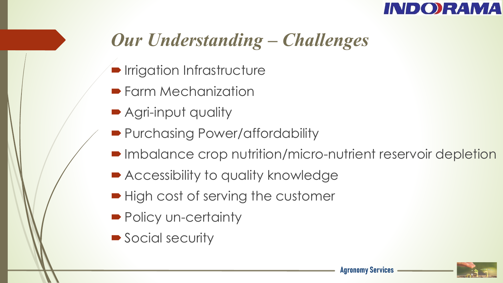

### *Our Understanding – Challenges*

- **Irrigation Infrastructure**
- **Farm Mechanization**
- Agri-input quality
- Purchasing Power/affordability
- Imbalance crop nutrition/micro-nutrient reservoir depletion
- **Accessibility to quality knowledge**
- $\blacktriangleright$  High cost of serving the customer
- Policy un-certainty
- Social security

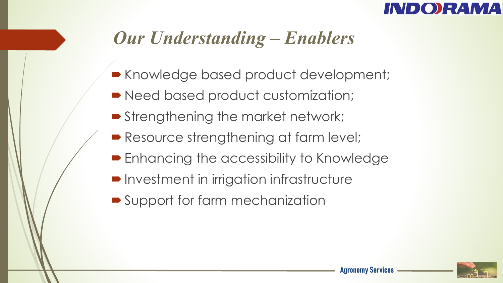

### *Our Understanding – Enablers*

- Knowledge based product development;
- Need based product customization;
- **Strengthening the market network;**
- Resource strengthening at farm level;
- **Enhancing the accessibility to Knowledge**
- **Investment in irrigation infrastructure**
- Support for farm mechanization

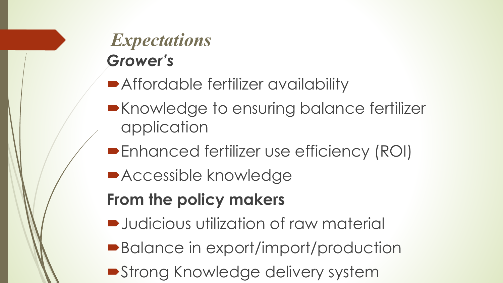### *Expectations Grower's*

- **Affordable fertilizer availability**
- **Execute Knowledge to ensuring balance fertilizer** application
- **Enhanced fertilizer use efficiency (ROI)**
- **Accessible knowledge**

#### **From the policy makers**

- $\rightarrow$  **Judicious utilization of raw material**
- ■Balance in export/import/production
- **Strong Knowledge delivery system**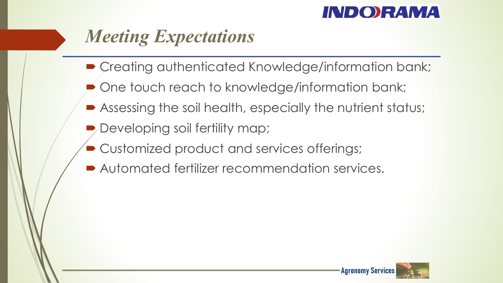#### **INDORAMA**

### *Meeting Expectations*

- $\blacktriangleright$  Creating authenticated Knowledge/information bank;
- One touch reach to knowledge/information bank;
- Assessing the soil health, especially the nutrient status;
- $\blacktriangleright$  Developing soil fertility map;
- ´ Customized product and services offerings;
- $\blacktriangleright$  Automated fertilizer recommendation services.



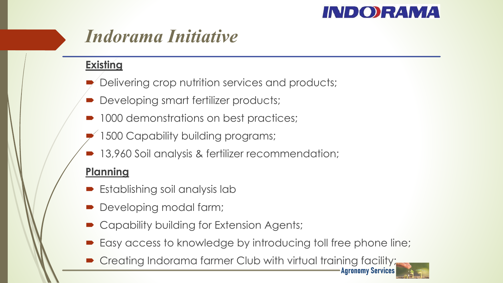#### **INDORAMA**

**Agronomy Services**

#### *Indorama Initiative*

**Existing**

- Delivering crop nutrition services and products;
- Developing smart fertilizer products;
- 1000 demonstrations on best practices;
- 1500 Capability building programs;
- 13,960 Soil analysis & fertilizer recommendation;

#### **Planning**

- $\blacktriangleright$  Establishing soil analysis lab
- Developing modal farm;
- Capability building for Extension Agents;
- Easy access to knowledge by introducing toll free phone line;
- Creating Indorama farmer Club with virtual training facility;